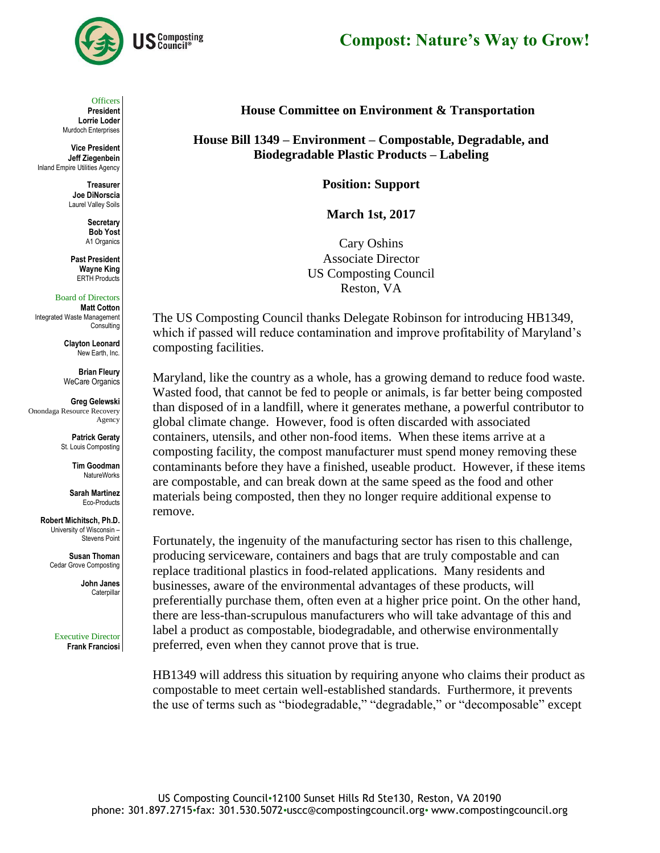



**Officers** 

**President Lorrie Loder** Murdoch Enterprises

**Vice President Jeff Ziegenbein** Inland Empire Utilities Agency

> **Treasurer Joe DiNorscia** Laurel Valley Soils

> > **Secretary Bob Yost** A1 Organics

**Past President Wayne King** ERTH Products

## Board of Directors

**Matt Cotton** Integrated Waste Management **Consulting** 

> **Clayton Leonard** New Earth, Inc.

**Brian Fleury** WeCare Organics

**Greg Gelewski** Onondaga Resource Recovery Agency

> **Patrick Geraty** St. Louis Composting

> > **Tim Goodman** NatureWorks

**Sarah Martinez** Eco-Products

**Robert Michitsch, Ph.D.** University of Wisconsin – Stevens Point

> **Susan Thoman** Cedar Grove Composting

> > **John Janes** Caterpilla

Executive Director **Frank Franciosi** **House Committee on Environment & Transportation**

**House Bill 1349 – Environment – Compostable, Degradable, and Biodegradable Plastic Products – Labeling** 

**Position: Support** 

**March 1st, 2017**

Cary Oshins Associate Director US Composting Council Reston, VA

The US Composting Council thanks Delegate Robinson for introducing HB1349, which if passed will reduce contamination and improve profitability of Maryland's composting facilities.

Maryland, like the country as a whole, has a growing demand to reduce food waste. Wasted food, that cannot be fed to people or animals, is far better being composted than disposed of in a landfill, where it generates methane, a powerful contributor to global climate change. However, food is often discarded with associated containers, utensils, and other non-food items. When these items arrive at a composting facility, the compost manufacturer must spend money removing these contaminants before they have a finished, useable product. However, if these items are compostable, and can break down at the same speed as the food and other materials being composted, then they no longer require additional expense to remove.

Fortunately, the ingenuity of the manufacturing sector has risen to this challenge, producing serviceware, containers and bags that are truly compostable and can replace traditional plastics in food-related applications. Many residents and businesses, aware of the environmental advantages of these products, will preferentially purchase them, often even at a higher price point. On the other hand, there are less-than-scrupulous manufacturers who will take advantage of this and label a product as compostable, biodegradable, and otherwise environmentally preferred, even when they cannot prove that is true.

HB1349 will address this situation by requiring anyone who claims their product as compostable to meet certain well-established standards. Furthermore, it prevents the use of terms such as "biodegradable," "degradable," or "decomposable" except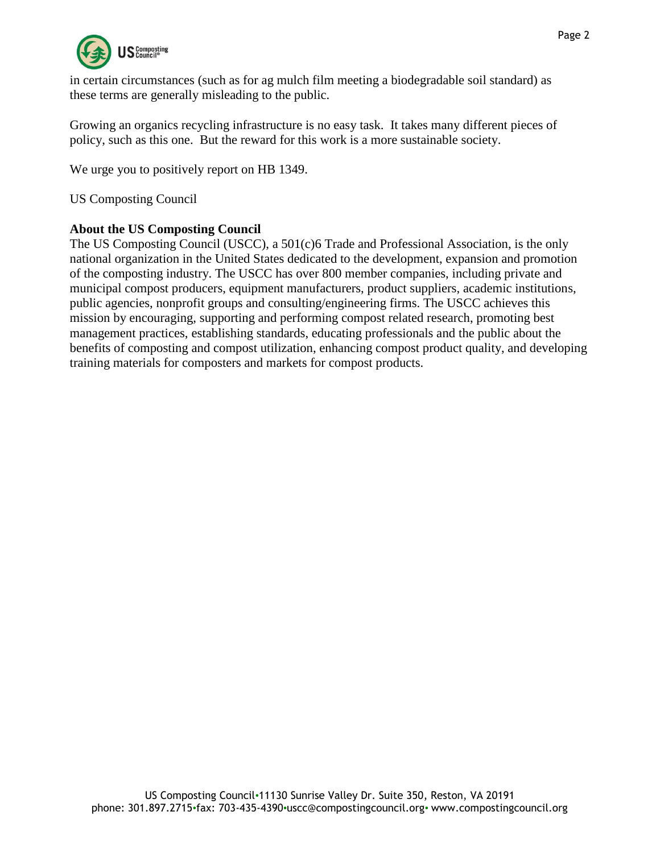

in certain circumstances (such as for ag mulch film meeting a biodegradable soil standard) as these terms are generally misleading to the public.

Growing an organics recycling infrastructure is no easy task. It takes many different pieces of policy, such as this one. But the reward for this work is a more sustainable society.

We urge you to positively report on HB 1349.

US Composting Council

## **About the US Composting Council**

The US Composting Council (USCC), a 501(c)6 Trade and Professional Association, is the only national organization in the United States dedicated to the development, expansion and promotion of the composting industry. The USCC has over 800 member companies, including private and municipal compost producers, equipment manufacturers, product suppliers, academic institutions, public agencies, nonprofit groups and consulting/engineering firms. The USCC achieves this mission by encouraging, supporting and performing compost related research, promoting best management practices, establishing standards, educating professionals and the public about the benefits of composting and compost utilization, enhancing compost product quality, and developing training materials for composters and markets for compost products.